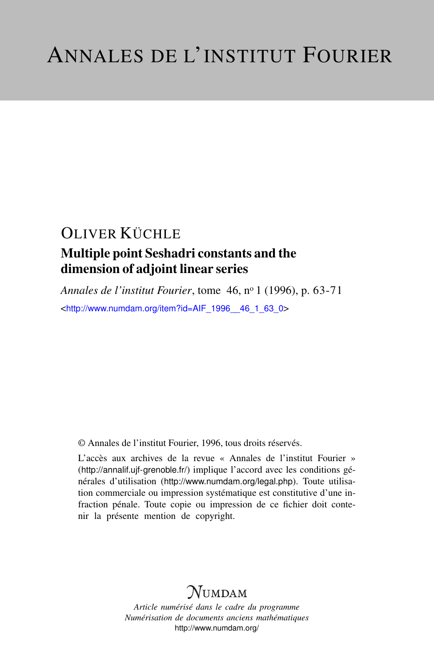### Multiple point Seshadri constants and the dimension of adjoint linear series

*Annales de l'institut Fourier*, tome 46, n<sup>o</sup> 1 (1996), p. 63-71 <[http://www.numdam.org/item?id=AIF\\_1996\\_\\_46\\_1\\_63\\_0](http://www.numdam.org/item?id=AIF_1996__46_1_63_0)>

© Annales de l'institut Fourier, 1996, tous droits réservés.

L'accès aux archives de la revue « Annales de l'institut Fourier » (<http://annalif.ujf-grenoble.fr/>) implique l'accord avec les conditions générales d'utilisation (<http://www.numdam.org/legal.php>). Toute utilisation commerciale ou impression systématique est constitutive d'une infraction pénale. Toute copie ou impression de ce fichier doit contenir la présente mention de copyright.

# NUMDAM

*Article numérisé dans le cadre du programme Numérisation de documents anciens mathématiques* <http://www.numdam.org/>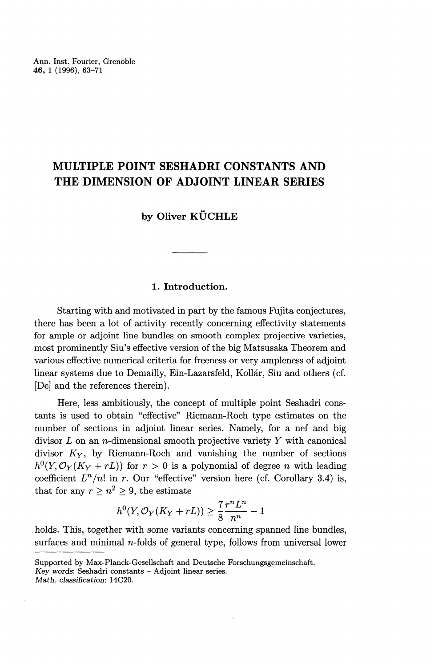### **MULTIPLE POINT SESHADRI CONSTANTS AND THE DIMENSION OF ADJOINT LINEAR SERIES**

**by Oliver KUCHLE**

#### **1. Introduction.**

Starting with and motivated in part by the famous Fujita conjectures, there has been a lot of activity recently concerning effectivity statements for ample or adjoint line bundles on smooth complex projective varieties, most prominently Siu's effective version of the big Matsusaka Theorem and various effective numerical criteria for freeness or very ampleness of adjoint linear systems due to Demailly, Ein-Lazarsfeld, Kollár, Siu and others (cf. [De] and the references therein).

Here, less ambitiously, the concept of multiple point Seshadri constants is used to obtain "effective" Riemann-Roch type estimates on the number of sections in adjoint linear series. Namely, for a nef and big divisor *L* on an n-dimensional smooth projective variety *Y* with canonical divisor  $K_Y$ , by Riemann-Roch and vanishing the number of sections  $h^0(Y, \mathcal{O}_Y(K_Y + rL))$  for  $r > 0$  is a polynomial of degree *n* with leading coefficient  $L^n/n!$  in r. Our "effective" version here (cf. Corollary 3.4) is, that for any  $r \geq n^2 \geq 9$ , the estimate

$$
h^0(Y, \mathcal{O}_Y(K_Y + rL)) \ge \frac{7}{8} \frac{r^n L^n}{n^n} - 1
$$

holds. This, together with some variants concerning spanned line bundles, surfaces and minimal  $n$ -folds of general type, follows from universal lower

*Key words:* Seshadri constants — Adjoint linear series.

*Math. classification:* 14C20.

Supported by Max-Planck-Gesellschaft and Deutsche Forschungsgemeinschaft.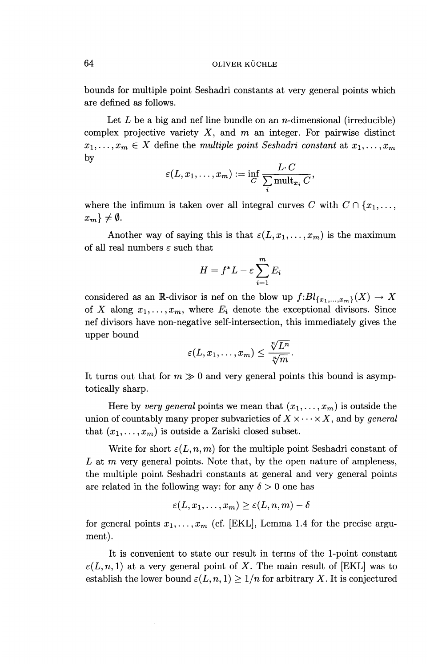bounds for multiple point Seshadri constants at very general points which are defined as follows.

Let L be a big and nef line bundle on an *n*-dimensional (irreducible) complex projective variety **X,** and *m* an integer. For pairwise distinct  $x_1, \ldots, x_m \in X$  define the *multiple point Seshadri constant* at  $x_1, \ldots, x_m$ by

$$
\varepsilon(L,x_1,\ldots,x_m):=\inf_{C}\frac{L\cdotp C}{\sum_i \operatorname{mult}_{x_i} C},
$$

where the infimum is taken over all integral curves C with  $C \cap \{x_1, \ldots, x_n\}$  $x_m$ }  $\neq \emptyset$ .

Another way of saying this is that  $\varepsilon(L, x_1, \ldots, x_m)$  is the maximum of all real numbers  $\varepsilon$  such that

$$
H = f^*L - \varepsilon \sum_{i=1}^m E_i
$$

considered as an R-divisor is nef on the blow up  $f:Bl_{\{x_1,\ldots,x_m\}}(X) \to X$ of X along  $x_1, \ldots, x_m$ , where  $E_i$  denote the exceptional divisors. Since nef divisors have non-negative self-intersection, this immediately gives the upper bound

$$
\varepsilon(L,x_1,\ldots,x_m)\leq \frac{\sqrt[n]{L^n}}{\sqrt[n]{m}}.
$$

It turns out that for  $m \gg 0$  and very general points this bound is asymptotically sharp.

Here by *very general* points we mean that  $(x_1, \ldots, x_m)$  is outside the union of countably many proper subvarieties of  $X \times \cdots \times X$ , and by *general* that  $(x_1, \ldots, x_m)$  is outside a Zariski closed subset.

Write for short  $\varepsilon(L,n,m)$  for the multiple point Seshadri constant of L at  $m$  very general points. Note that, by the open nature of ampleness, the multiple point Seshadri constants at general and very general points are related in the following way: for any  $\delta > 0$  one has

$$
\varepsilon(L, x_1, \ldots, x_m) \ge \varepsilon(L, n, m) - \delta
$$

for general points  $x_1, \ldots, x_m$  (cf. [EKL], Lemma 1.4 for the precise argument).

It is convenient to state our result in terms of the 1-point constant  $\varepsilon(L, n, 1)$  at a very general point of X. The main result of [EKL] was to establish the lower bound  $\varepsilon(L, n, 1) \geq 1/n$  for arbitrary X. It is conjectured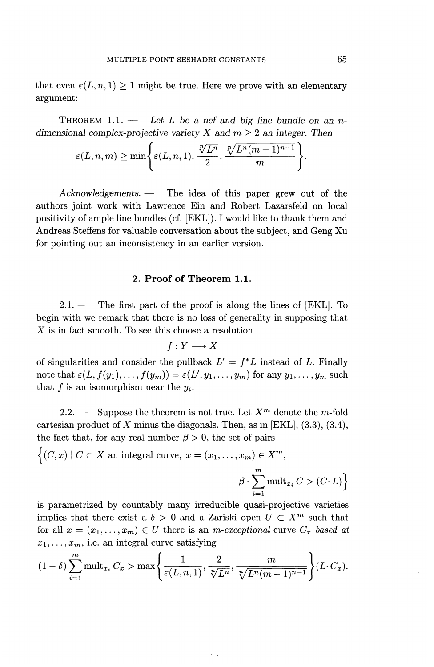that even  $\varepsilon(L, n, 1) \geq 1$  might be true. Here we prove with an elementary argument:

THEOREM 1.1. — *Let L be a nef and big line bundle on an ndimensional complex-projective variety X and*  $m \geq 2$  *an integer. Then* 

$$
\varepsilon(L,n,m) \ge \min\Biggl\{\varepsilon(L,n,1), \frac{\sqrt[n]{L^n}}{2}, \frac{\sqrt[n]{L^n(m-1)^{n-1}}}{m}\Biggr\}.
$$

*Acknowledgements. —* The idea of this paper grew out of the authors joint work with Lawrence Ein and Robert Lazarsfeld on local positivity of ample line bundles (cf. [EKL]). I would like to thank them and Andreas Steffens for valuable conversation about the subject, and Geng Xu for pointing out an inconsistency in an earlier version.

#### **2. Proof of Theorem 1.1.**

 $2.1.$  — The first part of the proof is along the lines of [EKL]. To begin with we remark that there is no loss of generality in supposing that *X* is in fact smooth. To see this choose a resolution

$$
f: Y \longrightarrow X
$$

of singularities and consider the pullback  $L' = f^*L$  instead of L. Finally note that  $\varepsilon(L, f(y_1),..., f(y_m)) = \varepsilon(L',y_1,...,y_m)$  for any  $y_1,..., y_m$  such that  $f$  is an isomorphism near the  $y_i$ .

2.2. — Suppose the theorem is not true. Let  $X^m$  denote the m-fold cartesian product of X minus the diagonals. Then, as in [EKL],  $(3.3)$ ,  $(3.4)$ , the fact that, for any real number  $\beta > 0$ , the set of pairs

$$
\left\{ (C, x) \mid C \subset X \text{ an integral curve, } x = (x_1, \dots, x_m) \in X^m, \right\}
$$

$$
\beta \cdot \sum_{i=1}^m \text{mult}_{x_i} C > (C \cdot L) \right\}
$$

is parametrized by countably many irreducible quasi-projective varieties implies that there exist a  $\delta > 0$  and a Zariski open  $U \subset X^m$  such that for all  $x = (x_1, \ldots, x_m) \in U$  there is an *m-exceptional* curve  $C_x$  based at

$$
x_1, ..., x_m
$$
, i.e. an integral curve satisfying  
\n
$$
(1 - \delta) \sum_{i=1}^m \text{mult}_{x_i} C_x > \max \left\{ \frac{1}{\varepsilon(L, n, 1)}, \frac{2}{\sqrt[n]{L^n}}, \frac{m}{\sqrt[n]{L^n(m-1)^{n-1}}} \right\} (L \cdot C_x).
$$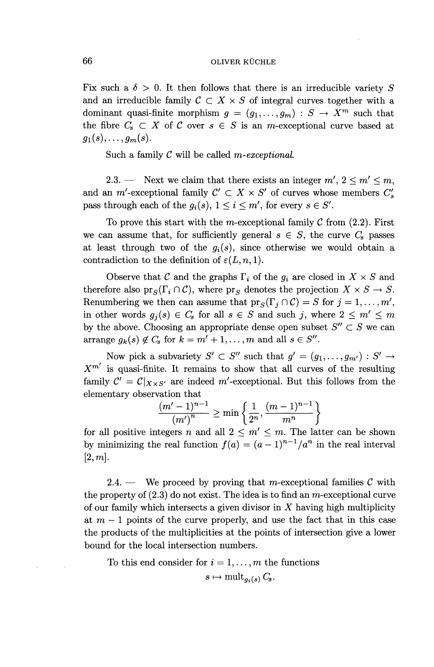Fix such a  $\delta > 0$ . It then follows that there is an irreducible variety S and an irreducible family  $C \subset X \times S$  of integral curves together with a dominant quasi-finite morphism  $q = (q_1,...,q_m) : S \to X^m$  such that the fibre  $C_s \subset X$  of C over  $s \in S$  is an *m*-exceptional curve based at  $g_1(s), \ldots, g_m(s)$ .

Such a family *C* will be called *m-exceptional.*

2.3. — Next we claim that there exists an integer  $m'$ ,  $2 \le m' \le m$ , and an m'-exceptional family  $C' \subset X \times S'$  of curves whose members  $C'_{s}$ pass through each of the  $g_i(s)$ ,  $1 \leq i \leq m'$ , for every  $s \in S'$ .

To prove this start with the m-exceptional family  $C$  from  $(2.2)$ . First we can assume that, for sufficiently general  $s \in S$ , the curve  $C_s$  passes at least through two of the  $g_i(s)$ , since otherwise we would obtain a contradiction to the definition of  $\varepsilon(L,n, 1)$ .

Observe that *C* and the graphs  $\Gamma_i$  of the  $g_i$  are closed in  $X \times S$  and therefore also  $\text{pr}_S(\Gamma_i \cap \mathcal{C})$ , where  $\text{pr}_S$  denotes the projection  $X \times S \to S$ . Renumbering we then can assume that  $pr_S(\Gamma_i \cap C) = S$  for  $j = 1, \ldots, m'$ , in other words  $g_j(s) \in C_s$  for all  $s \in S$  and such j, where  $2 \leq m' \leq m$ by the above. Choosing an appropriate dense open subset  $S'' \subset S$  we can arrange  $g_k(s) \notin C_s$  for  $k = m' + 1, \ldots, m$  and all  $s \in S''$ .

Now pick a subvariety  $S' \subset S''$  such that  $g' = (g_1, \ldots, g_{m'}) : S' \to$  $X^{m'}$  is quasi-finite. It remains to show that all curves of the resulting family  $C' = C|_{X \times S'}$  are indeed m'-exceptional. But this follows from the elementary observation that

$$
\frac{(m'-1)^{n-1}}{(m')^n} \ge \min\left\{\frac{1}{2^n}, \frac{(m-1)^{n-1}}{m^n}\right\}
$$

for all positive integers *n* and all  $2 \leq m' \leq m$ . The latter can be shown for all positive integers *n* and all  $2 \le m' \le m$ . The latter can be shown<br>by minimizing the real function  $f(a) = (a-1)^{n-1}/a^n$  in the real interval  $[2,m].$ 

2.4. — We proceed by proving that m-exceptional families  $\mathcal{C}$  with the property of  $(2.3)$  do not exist. The idea is to find an m-exceptional curve of our family which intersects a given divisor in *X* having high multiplicity at  $m-1$  points of the curve properly, and use the fact that in this case the products of the multiplicities at the points of intersection give a lower bound for the local intersection numbers.

To this end consider for  $i = 1, \ldots, m$  the functions

$$
s \mapsto \text{mult}_{g_i(s)} C_s.
$$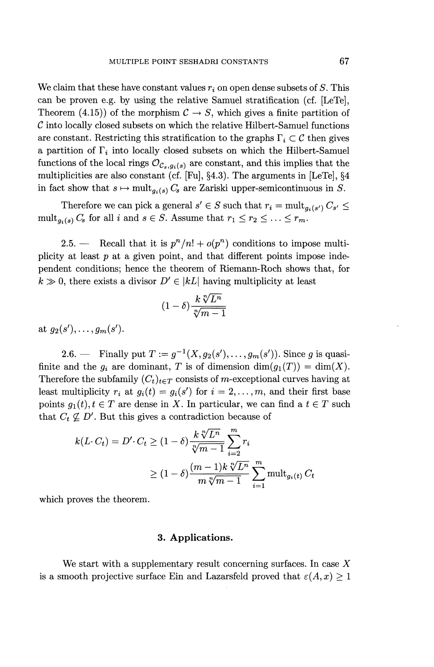We claim that these have constant values  $r_i$  on open dense subsets of  $S$ . This can be proven e.g. by using the relative Samuel stratification (cf. [LeTe], Theorem (4.15)) of the morphism  $C \rightarrow S$ , which gives a finite partition of *C* into locally closed subsets on which the relative Hilbert-Samuel functions are constant. Restricting this stratification to the graphs  $\Gamma_i \subset \mathcal{C}$  then gives a partition of  $\Gamma_i$  into locally closed subsets on which the Hilbert-Samuel functions of the local rings  $\mathcal{O}_{\mathcal{C}_s,g_i(s)}$  are constant, and this implies that the multiplicities are also constant (cf. [Fu], §4.3). The arguments in [LeTe], §4 in fact show that  $s \mapsto \text{mult}_{a_i(s)} C_s$  are Zariski upper-semicontinuous in S.

Therefore we can pick a general  $s' \in S$  such that  $r_i = \text{mult}_{g_i(s')} C_{s'} \leq$ mult<sub>*g<sub>i</sub>(s)</sub>*  $C_s$  *for all <i>i* and  $s \in S$ . Assume that  $r_1 \leq r_2 \leq \ldots \leq r_m$ .</sub>

2.5. — Recall that it is  $p^{n}/n! + o(p^{n})$  conditions to impose multiplicity at least *p* at a given point, and that different points impose independent conditions; hence the theorem of Riemann-Roch shows that, for  $k \gg 0$ , there exists a divisor  $D' \in |kL|$  having multiplicity at least

$$
(1-\delta)\frac{k\sqrt[n]{L^n}}{\sqrt[n]{m-1}}
$$

**at**  $q_2(s')$ , ...,  $q_m(s')$ 

2.6. — Finally put  $T := g^{-1}(X, g_2(s'), \ldots, g_m(s'))$ . Since g is quasifinite and the  $g_i$  are dominant, T is of dimension  $\dim(g_1(T)) = \dim(X)$ . Therefore the subfamily  $(C_t)_{t \in T}$  consists of m-exceptional curves having at least multiplicity  $r_i$  at  $g_i(t) = g_i(s')$  for  $i = 2, ..., m$ , and their first base points  $g_1(t)$ ,  $t \in T$  are dense in X. In particular, we can find a  $t \in T$  such that  $C_t \not\subseteq D'$ . But this gives a contradiction because of

$$
k(L \cdot C_t) = D' \cdot C_t \ge (1 - \delta) \frac{k \sqrt[n]{L^n}}{\sqrt[n]{m - 1}} \sum_{i=2}^m r_i
$$
  
 
$$
\ge (1 - \delta) \frac{(m - 1)k \sqrt[n]{L^n}}{m \sqrt[n]{m - 1}} \sum_{i=1}^m \text{mult}_{g_i(t)} C_t
$$

which proves the theorem.

#### **3. Applications.**

We start with a supplementary result concerning surfaces. In case *X* is a smooth projective surface Ein and Lazarsfeld proved that  $\varepsilon(A,x) \geq 1$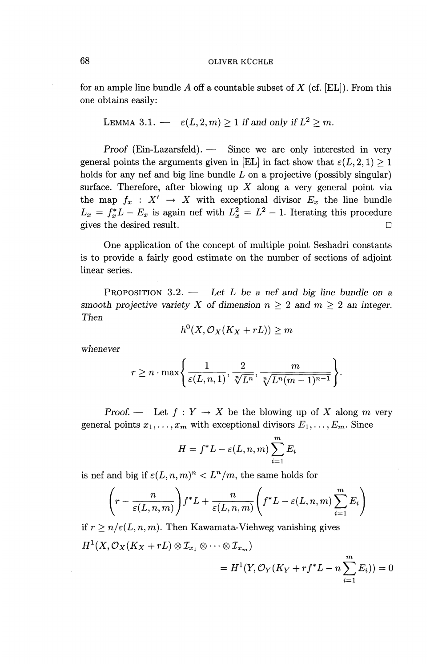for an ample line bundle A off a countable subset of *X* (cf. [EL]). From this one obtains easily:

LEMMA 3.1. 
$$
-\varepsilon(L,2,m) \geq 1
$$
 if and only if  $L^2 \geq m$ .

*Proof* (Ein-Lazarsfeld). — Since we are only interested in very general points the arguments given in [EL] in fact show that  $\varepsilon(L, 2, 1) > 1$ holds for any nef and big line bundle  $L$  on a projective (possibly singular) surface. Therefore, after blowing up *X* along a very general point via the map  $f_x : X' \to X$  with exceptional divisor  $E_x$  the line bundle the map  $f_x : X' \to X$  with exceptional divisor  $E_x$  the line bundle  $L_x = f^*_x L - E_x$  is again nef with  $L_x^2 = L^2 - 1$ . Iterating this procedure gives the desired result.  $\Box$ 

One application of the concept of multiple point Seshadri constants is to provide a fairly good estimate on the number of sections of adjoint linear series.

PROPOSITION 3.2. — *Let L be a nef and big line bundle on a smooth projective variety X of dimension*  $n \geq 2$  *and*  $m \geq 2$  an integer. *Then*

$$
h^0(X, \mathcal{O}_X(K_X + rL)) \geq m
$$

*whenever*

$$
r \geq n \cdot \max\Biggl\{\frac{1}{\varepsilon(L, n, 1)}, \frac{2}{\sqrt[n]{L^n}}, \frac{m}{\sqrt[n]{L^n(m-1)^{n-1}}}\Biggr\}.
$$

*Proof.* — Let  $f: Y \to X$  be the blowing up of X along m very general points  $x_1, \ldots, x_m$  with exceptional divisors  $E_1, \ldots, E_m$ . Since

$$
H = f^*L - \varepsilon(L, n, m) \sum_{i=1}^m E_i
$$

is nef and big if  $\varepsilon(L, n, m)^n < L^n/m$ , the same holds for

$$
\left(r-\frac{n}{\varepsilon(L,n,m)}\right)f^*L+\frac{n}{\varepsilon(L,n,m)}\left(f^*L-\varepsilon(L,n,m)\sum_{i=1}^m E_i\right)
$$

if  $r \geq n/\varepsilon(L, n, m)$ . Then Kawamata-Viehweg vanishing gives  $H^1(X, \mathcal{O}_X(K_X + rL) \otimes I_{x_1} \otimes \cdots \otimes I_{x_m})$ *m*

$$
= H^{1}(Y, \mathcal{O}_{Y}(K_{Y} + r f^{*} L - n \sum_{i=1}^{m} E_{i})) = 0
$$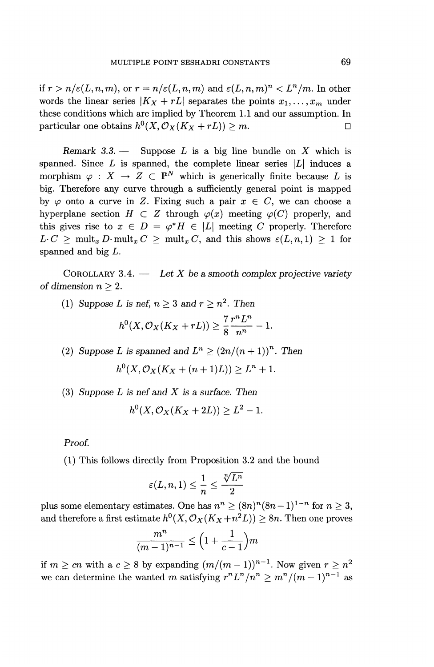if  $r > n/\varepsilon(L, n, m)$ , or  $r = n/\varepsilon(L, n, m)$  and  $\varepsilon(L, n, m)^n < L^n/m$ . In other words the linear series  $|K_X + rL|$  separates the points  $x_1, \ldots, x_m$  under these conditions which are implied by Theorem 1.1 and our assumption. In particular one obtains  $h^0(X, \mathcal{O}_X(K_X + rL)) > m$ .

*Remark 3.3. —* Suppose *L* is a big line bundle on *X* which is spanned. Since  $L$  is spanned, the complete linear series  $|L|$  induces a morphism  $\varphi : X \to Z \subset \mathbb{P}^N$  which is generically finite because *L* is big. Therefore any curve through a sufficiently general point is mapped by  $\varphi$  onto a curve in Z. Fixing such a pair  $x \in C$ , we can choose a hyperplane section  $H \subset Z$  through  $\varphi(x)$  meeting  $\varphi(C)$  properly, and this gives rise to  $x \in D = \varphi^* H \in |L|$  meeting C properly. Therefore  $L \cdot C \ge \text{mult}_x D \cdot \text{mult}_x C \ge \text{mult}_x C$ , and this shows  $\varepsilon(L,n,1) \ge 1$  for spanned and big *L.*

COROLLARY  $3.4.$  — Let X be a smooth complex projective variety *of dimension*  $n \geq 2$ .

(1) Suppose L is nef,  $n \geq 3$  and  $r \geq n^2$ . Then  $h^{0}(X, \mathcal{O}_{X}(K_{X}+rL))\geq \frac{7}{2}\frac{r^{n}L^{n}}{r^{n}-1}.$ 

(2) Suppose L is spanned and  $L^n \ge (2n/(n+1))^n$ . Then  $h^{0}(X, \mathcal{O}_{X}(K_{X} + (n+1)L)) \geq L^{n} + 1.$ 

(3) *Suppose L is nef and X is a surface. Then*

$$
h^{0}(X,\mathcal{O}_{X}(K_{X}+2L))\geq L^{2}-1.
$$

Proof.

(1) This follows directly from Proposition 3.2 and the bound<br>  $\varepsilon(L, n, 1) \leq \frac{1}{n} \leq \frac{\sqrt[n]{L^n}}{2}$ 

$$
\varepsilon(L, n, 1) \le \frac{1}{n} \le \frac{\sqrt[n]{L^n}}{2}
$$

plus some elementary estimates. One has  $n^n \geq (8n)^n(8n-1)^{1-n}$  for  $n \geq 3$ and therefore a first estimate  $h^0(X, \mathcal{O}_X(K_X + n^2L)) \ge 8n$ . Then one prove  $\frac{m^n}{(m-1)^{n-1}} \le \left(1 + \frac{1}{c-1}\right)m$ 

$$
\frac{m^n}{(m-1)^{n-1}} \le \left(1 + \frac{1}{c-1}\right)m
$$

if  $m \geq cn$  with a  $c \geq 8$  by expanding  $(m/(m-1))^{n-1}$ . Now given  $r > n$ if  $m \ge cn$  with a  $c \ge 8$  by expanding  $(m/(m-1))^{n-1}$ . Now given  $r \ge n$  we can determine the wanted m satisfying  $r^n L^n / n^n \ge m^n / (m - 1)^{n-1}$  as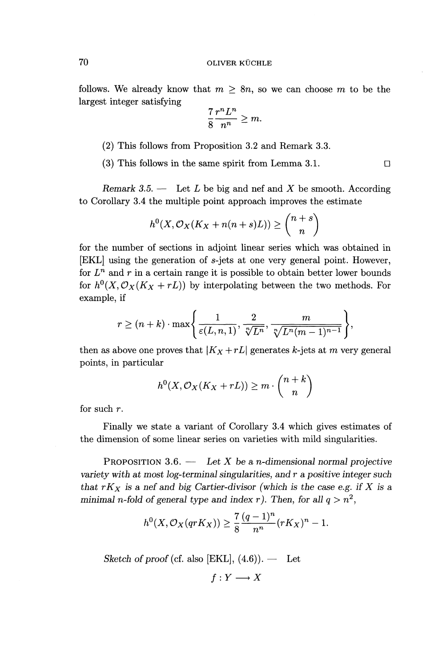follows. We already know that  $m \geq 8n$ , so we can choose m to be the largest integer satisfying

$$
\frac{7}{8} \frac{r^n L^n}{n^n} \ge m.
$$

(2) This follows from Proposition 3.2 and Remark 3.3.

(3) This follows in the same spirit from Lemma 3.1.  $\square$ 

*Remark 3.5. —* Let *L* be big and nef and *X* be smooth. According to Corollary 3.4 the multiple point approach improves the estimate

$$
h^{0}(X, \mathcal{O}_{X}(K_{X}+n(n+s)L)) \geq {n+s \choose n}
$$

for the number of sections in adjoint linear series which was obtained in [EKL] using the generation of s-jets at one very general point. However, for  $L^n$  and r in a certain range it is possible to obtain better lower bounds for  $h^{0}(X, \mathcal{O}_{X}(K_{X}+rL))$  by interpolating between the two methods. For example, if

$$
r \ge (n+k) \cdot \max\left\{\frac{1}{\varepsilon(L, n, 1)}, \frac{2}{\sqrt[n]{L^n}}, \frac{m}{\sqrt[n]{L^n(m-1)^{n-1}}}\right\},\,
$$

then as above one proves that  $|K_X + rL|$  generates k-jets at m very general points, in particular

$$
h^0(X, \mathcal{O}_X(K_X + rL)) \ge m \cdot \binom{n+k}{n}
$$

for such *r.*

Finally we state a variant of Corollary 3.4 which gives estimates of the dimension of some linear series on varieties with mild singularities.

PROPOSITION 3.6. — *Let X be a n-dimensional normal projective variety with at most log-terminal singularities, and r a positive integer such that*  $rK_X$  *is a nef and big Cartier-divisor (which is the case e.g. if* X is a *minimal n-fold of general type and index r). Then, for all*  $q > n^2$ 

$$
h^0(X, \mathcal{O}_X(qrK_X)) \geq \frac{7}{8} \frac{(q-1)^n}{n^n} (rK_X)^n - 1.
$$

*Sketch of proof* (cf. also [EKL],  $(4.6)$ ). — Let

 $f: Y \longrightarrow X$